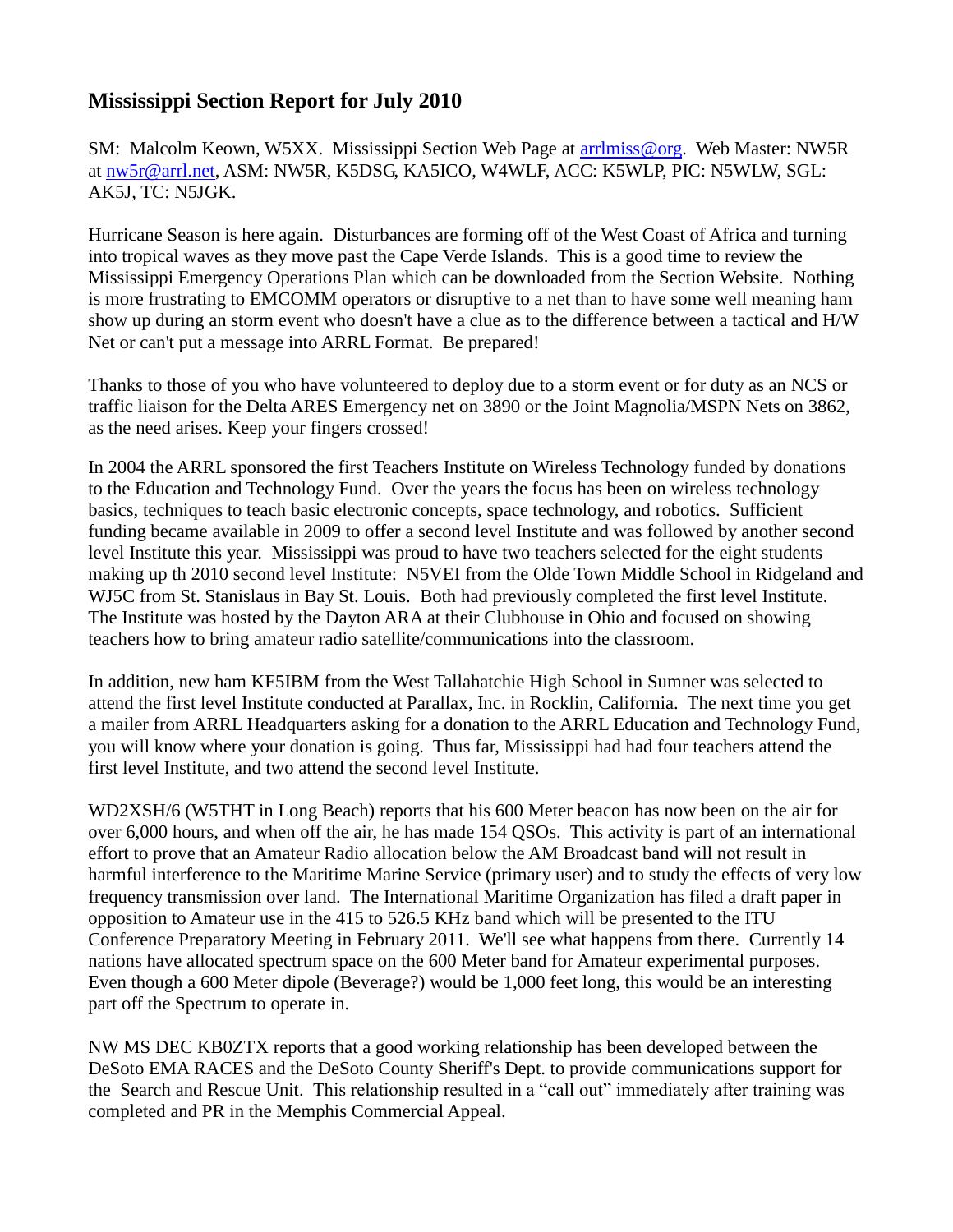## **Mississippi Section Report for July 2010**

SM: Malcolm Keown, W5XX. Mississippi Section Web Page at [arrlmiss@org.](mailto:arrlmiss@org) Web Master: NW5R at [nw5r@arrl.net,](mailto:nw5r@arrl.net) ASM: NW5R, K5DSG, KA5ICO, W4WLF, ACC: K5WLP, PIC: N5WLW, SGL: AK5J, TC: N5JGK.

Hurricane Season is here again. Disturbances are forming off of the West Coast of Africa and turning into tropical waves as they move past the Cape Verde Islands. This is a good time to review the Mississippi Emergency Operations Plan which can be downloaded from the Section Website. Nothing is more frustrating to EMCOMM operators or disruptive to a net than to have some well meaning ham show up during an storm event who doesn't have a clue as to the difference between a tactical and H/W Net or can't put a message into ARRL Format. Be prepared!

Thanks to those of you who have volunteered to deploy due to a storm event or for duty as an NCS or traffic liaison for the Delta ARES Emergency net on 3890 or the Joint Magnolia/MSPN Nets on 3862, as the need arises. Keep your fingers crossed!

In 2004 the ARRL sponsored the first Teachers Institute on Wireless Technology funded by donations to the Education and Technology Fund. Over the years the focus has been on wireless technology basics, techniques to teach basic electronic concepts, space technology, and robotics. Sufficient funding became available in 2009 to offer a second level Institute and was followed by another second level Institute this year. Mississippi was proud to have two teachers selected for the eight students making up th 2010 second level Institute: N5VEI from the Olde Town Middle School in Ridgeland and WJ5C from St. Stanislaus in Bay St. Louis. Both had previously completed the first level Institute. The Institute was hosted by the Dayton ARA at their Clubhouse in Ohio and focused on showing teachers how to bring amateur radio satellite/communications into the classroom.

In addition, new ham KF5IBM from the West Tallahatchie High School in Sumner was selected to attend the first level Institute conducted at Parallax, Inc. in Rocklin, California. The next time you get a mailer from ARRL Headquarters asking for a donation to the ARRL Education and Technology Fund, you will know where your donation is going. Thus far, Mississippi had had four teachers attend the first level Institute, and two attend the second level Institute.

WD2XSH/6 (W5THT in Long Beach) reports that his 600 Meter beacon has now been on the air for over 6,000 hours, and when off the air, he has made 154 QSOs. This activity is part of an international effort to prove that an Amateur Radio allocation below the AM Broadcast band will not result in harmful interference to the Maritime Marine Service (primary user) and to study the effects of very low frequency transmission over land. The International Maritime Organization has filed a draft paper in opposition to Amateur use in the 415 to 526.5 KHz band which will be presented to the ITU Conference Preparatory Meeting in February 2011. We'll see what happens from there. Currently 14 nations have allocated spectrum space on the 600 Meter band for Amateur experimental purposes. Even though a 600 Meter dipole (Beverage?) would be 1,000 feet long, this would be an interesting part off the Spectrum to operate in.

NW MS DEC KB0ZTX reports that a good working relationship has been developed between the DeSoto EMA RACES and the DeSoto County Sheriff's Dept. to provide communications support for the Search and Rescue Unit. This relationship resulted in a "call out" immediately after training was completed and PR in the Memphis Commercial Appeal.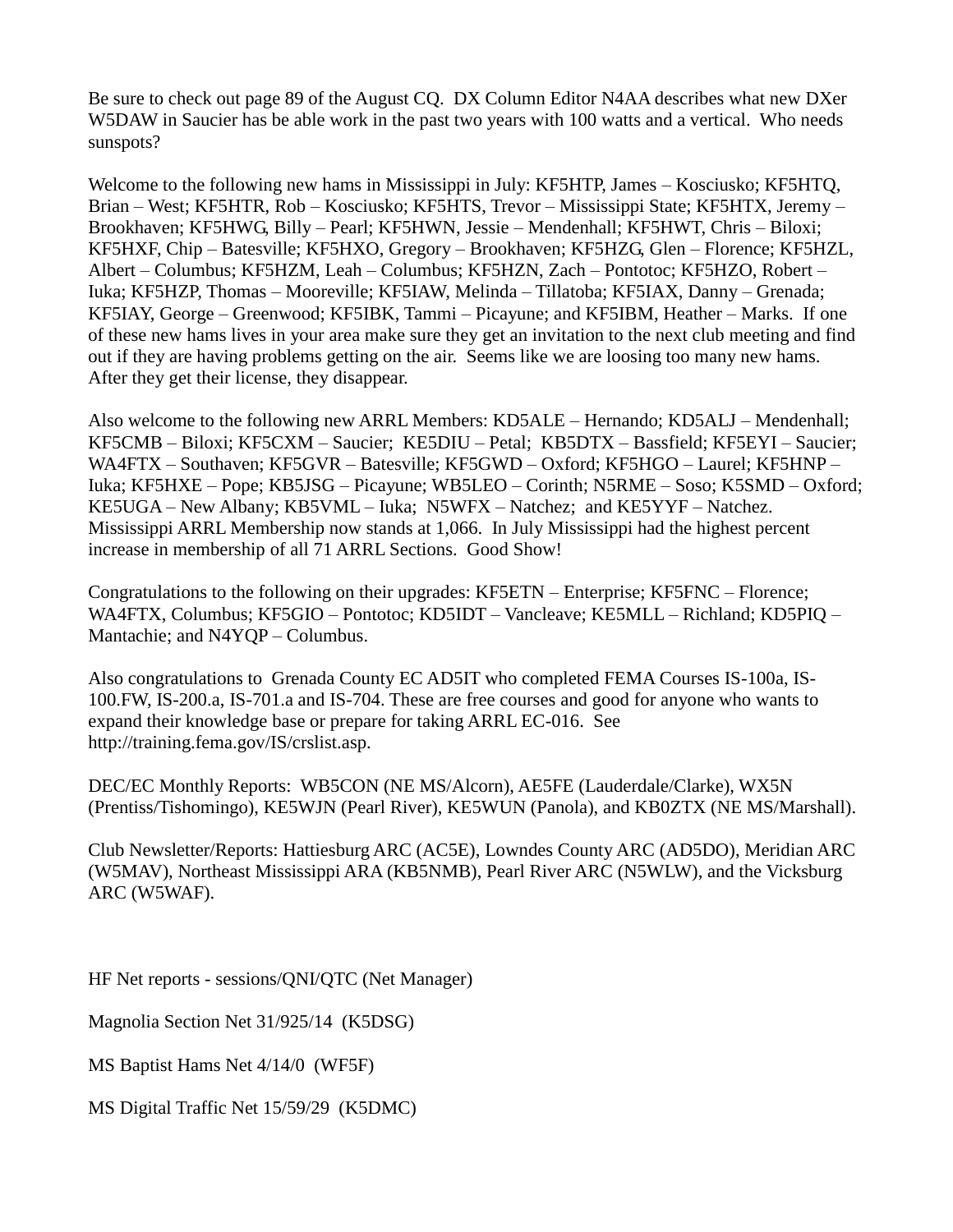Be sure to check out page 89 of the August CQ. DX Column Editor N4AA describes what new DXer W5DAW in Saucier has be able work in the past two years with 100 watts and a vertical. Who needs sunspots?

Welcome to the following new hams in Mississippi in July: KF5HTP, James – Kosciusko; KF5HTQ, Brian – West; KF5HTR, Rob – Kosciusko; KF5HTS, Trevor – Mississippi State; KF5HTX, Jeremy – Brookhaven; KF5HWG, Billy – Pearl; KF5HWN, Jessie – Mendenhall; KF5HWT, Chris – Biloxi; KF5HXF, Chip – Batesville; KF5HXO, Gregory – Brookhaven; KF5HZG, Glen – Florence; KF5HZL, Albert – Columbus; KF5HZM, Leah – Columbus; KF5HZN, Zach – Pontotoc; KF5HZO, Robert – Iuka; KF5HZP, Thomas – Mooreville; KF5IAW, Melinda – Tillatoba; KF5IAX, Danny – Grenada; KF5IAY, George – Greenwood; KF5IBK, Tammi – Picayune; and KF5IBM, Heather – Marks. If one of these new hams lives in your area make sure they get an invitation to the next club meeting and find out if they are having problems getting on the air. Seems like we are loosing too many new hams. After they get their license, they disappear.

Also welcome to the following new ARRL Members: KD5ALE – Hernando; KD5ALJ – Mendenhall; KF5CMB – Biloxi; KF5CXM – Saucier; KE5DIU – Petal; KB5DTX – Bassfield; KF5EYI – Saucier; WA4FTX – Southaven; KF5GVR – Batesville; KF5GWD – Oxford; KF5HGO – Laurel; KF5HNP – Iuka; KF5HXE – Pope; KB5JSG – Picayune; WB5LEO – Corinth; N5RME – Soso; K5SMD – Oxford; KE5UGA – New Albany; KB5VML – Iuka; N5WFX – Natchez; and KE5YYF – Natchez. Mississippi ARRL Membership now stands at 1,066. In July Mississippi had the highest percent increase in membership of all 71 ARRL Sections. Good Show!

Congratulations to the following on their upgrades: KF5ETN – Enterprise; KF5FNC – Florence; WA4FTX, Columbus; KF5GIO – Pontotoc; KD5IDT – Vancleave; KE5MLL – Richland; KD5PIQ – Mantachie; and N4YQP – Columbus.

Also congratulations to Grenada County EC AD5IT who completed FEMA Courses IS-100a, IS-100.FW, IS-200.a, IS-701.a and IS-704. These are free courses and good for anyone who wants to expand their knowledge base or prepare for taking ARRL EC-016. See http://training.fema.gov/IS/crslist.asp.

DEC/EC Monthly Reports: WB5CON (NE MS/Alcorn), AE5FE (Lauderdale/Clarke), WX5N (Prentiss/Tishomingo), KE5WJN (Pearl River), KE5WUN (Panola), and KB0ZTX (NE MS/Marshall).

Club Newsletter/Reports: Hattiesburg ARC (AC5E), Lowndes County ARC (AD5DO), Meridian ARC (W5MAV), Northeast Mississippi ARA (KB5NMB), Pearl River ARC (N5WLW), and the Vicksburg ARC (W5WAF).

HF Net reports - sessions/QNI/QTC (Net Manager)

Magnolia Section Net 31/925/14 (K5DSG)

MS Baptist Hams Net 4/14/0 (WF5F)

MS Digital Traffic Net 15/59/29 (K5DMC)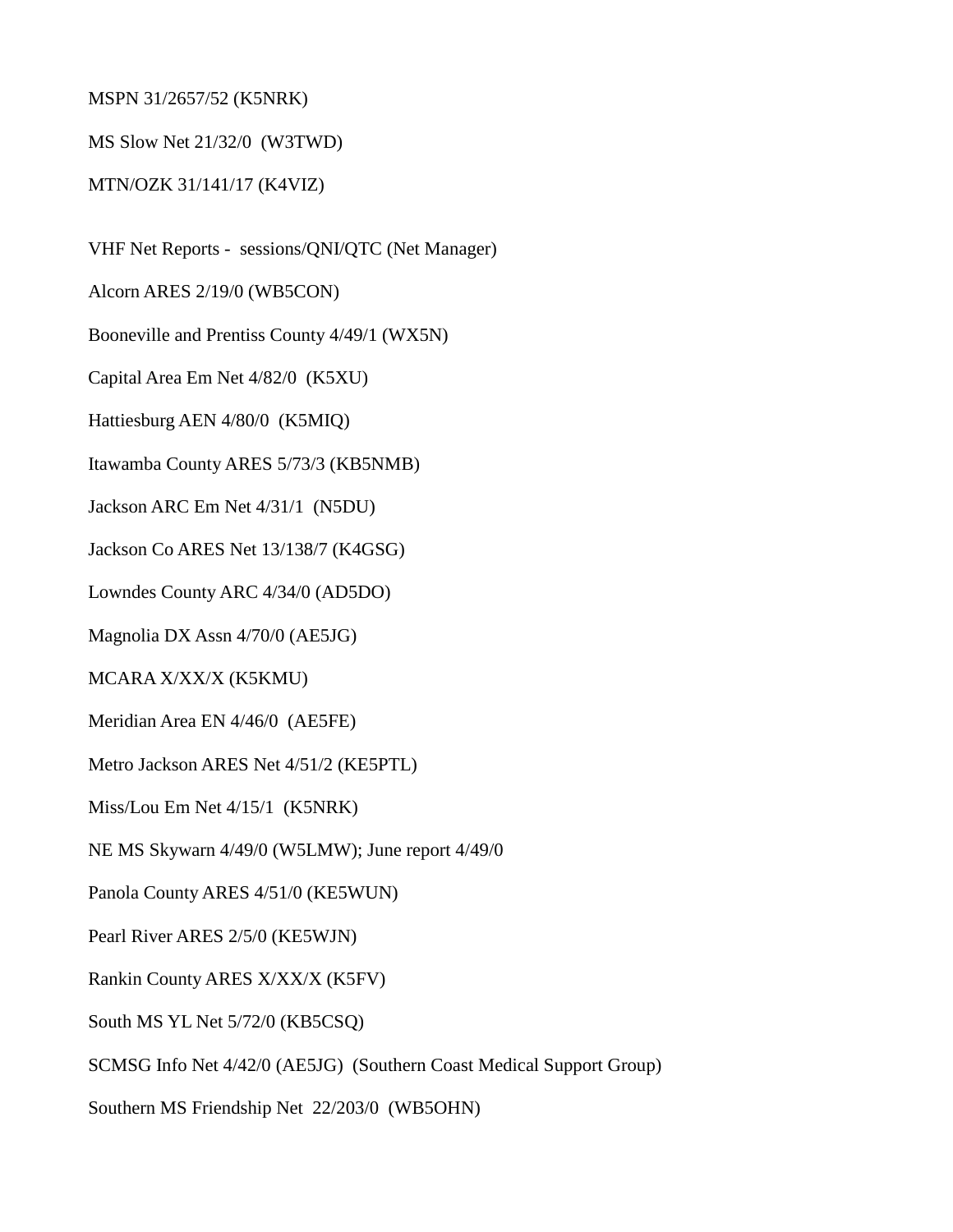MSPN 31/2657/52 (K5NRK)

MS Slow Net 21/32/0 (W3TWD)

MTN/OZK 31/141/17 (K4VIZ)

VHF Net Reports - sessions/QNI/QTC (Net Manager)

Alcorn ARES 2/19/0 (WB5CON)

Booneville and Prentiss County 4/49/1 (WX5N)

Capital Area Em Net 4/82/0 (K5XU)

Hattiesburg AEN 4/80/0 (K5MIQ)

Itawamba County ARES 5/73/3 (KB5NMB)

Jackson ARC Em Net 4/31/1 (N5DU)

Jackson Co ARES Net 13/138/7 (K4GSG)

Lowndes County ARC 4/34/0 (AD5DO)

Magnolia DX Assn 4/70/0 (AE5JG)

MCARA X/XX/X (K5KMU)

Meridian Area EN 4/46/0 (AE5FE)

Metro Jackson ARES Net 4/51/2 (KE5PTL)

Miss/Lou Em Net 4/15/1 (K5NRK)

NE MS Skywarn 4/49/0 (W5LMW); June report 4/49/0

Panola County ARES 4/51/0 (KE5WUN)

Pearl River ARES 2/5/0 (KE5WJN)

Rankin County ARES X/XX/X (K5FV)

South MS YL Net 5/72/0 (KB5CSQ)

SCMSG Info Net 4/42/0 (AE5JG) (Southern Coast Medical Support Group)

Southern MS Friendship Net 22/203/0 (WB5OHN)